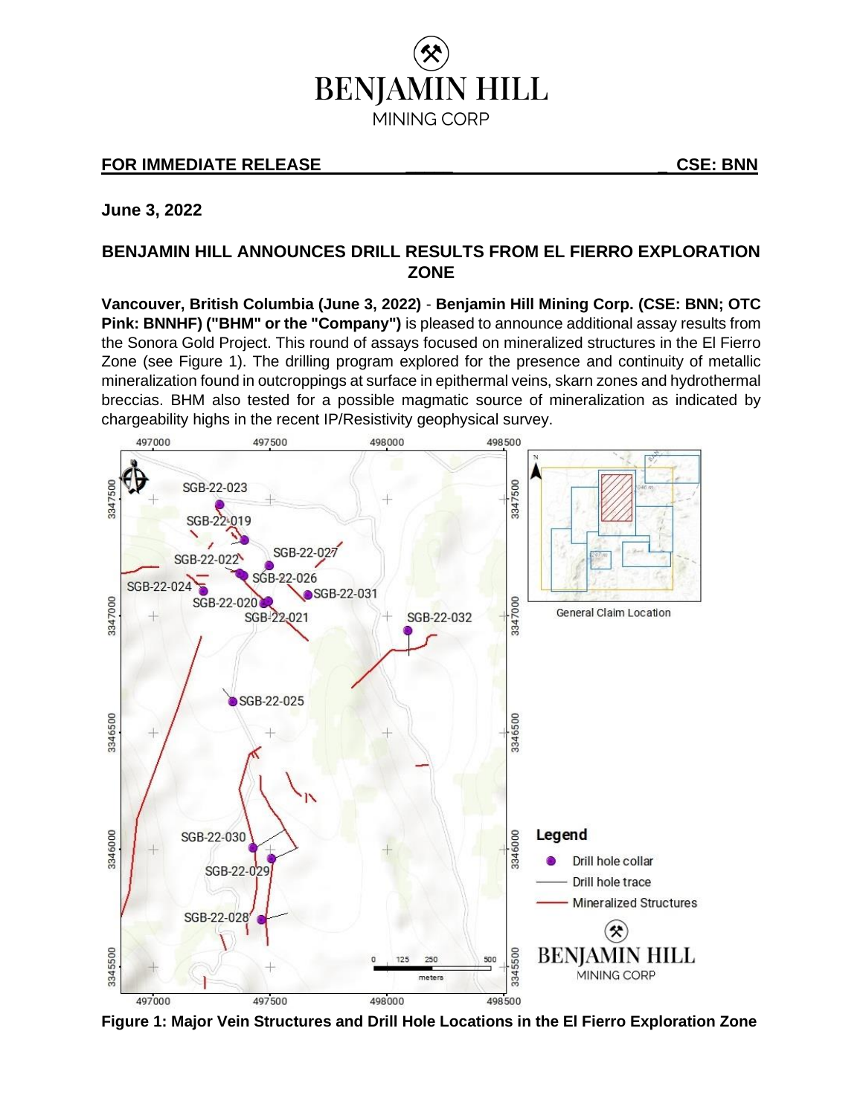

# **FOR IMMEDIATE RELEASE \_\_\_\_\_ \_ CSE: BNN**

**June 3, 2022**

## **BENJAMIN HILL ANNOUNCES DRILL RESULTS FROM EL FIERRO EXPLORATION ZONE**

**Vancouver, British Columbia (June 3, 2022)** - **Benjamin Hill Mining Corp. (CSE: BNN; OTC Pink: BNNHF) ("BHM" or the "Company")** is pleased to announce additional assay results from the Sonora Gold Project. This round of assays focused on mineralized structures in the El Fierro Zone (see Figure 1). The drilling program explored for the presence and continuity of metallic mineralization found in outcroppings at surface in epithermal veins, skarn zones and hydrothermal breccias. BHM also tested for a possible magmatic source of mineralization as indicated by chargeability highs in the recent IP/Resistivity geophysical survey.



**Figure 1: Major Vein Structures and Drill Hole Locations in the El Fierro Exploration Zone**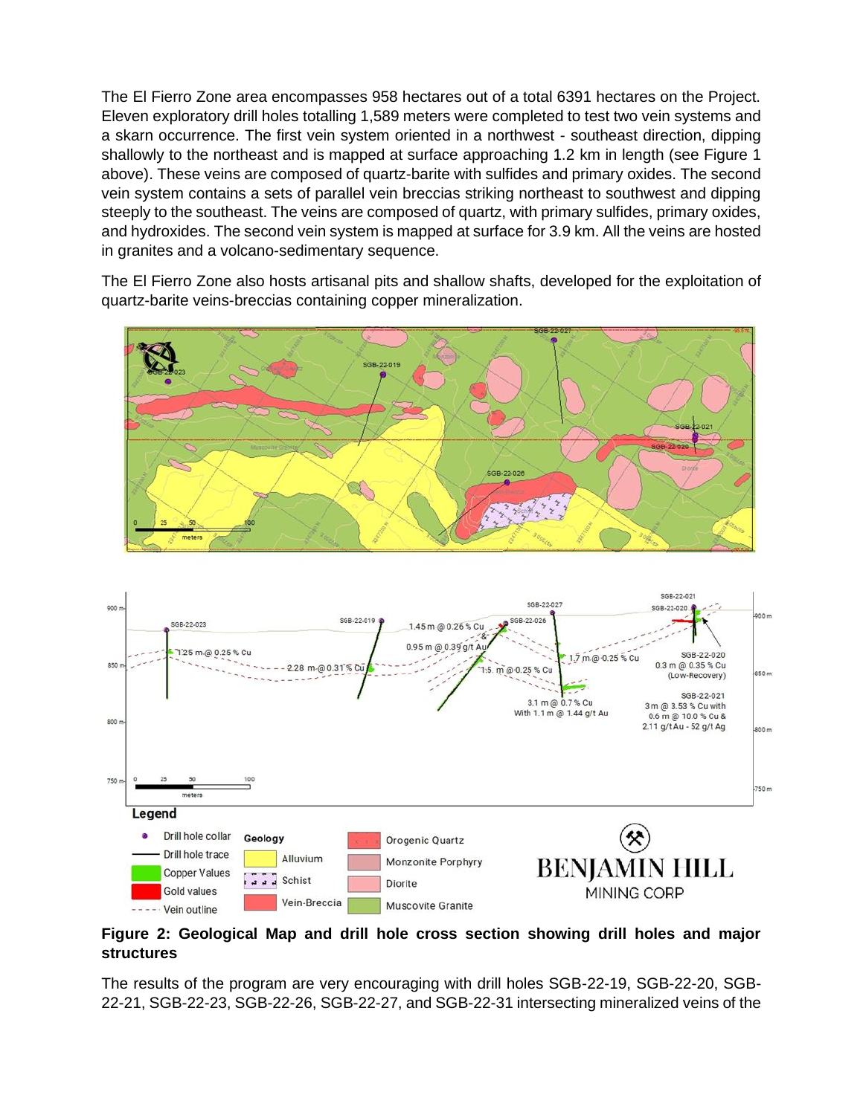The El Fierro Zone area encompasses 958 hectares out of a total 6391 hectares on the Project. Eleven exploratory drill holes totalling 1,589 meters were completed to test two vein systems and a skarn occurrence. The first vein system oriented in a northwest - southeast direction, dipping shallowly to the northeast and is mapped at surface approaching 1.2 km in length (see Figure 1 above). These veins are composed of quartz-barite with sulfides and primary oxides. The second vein system contains a sets of parallel vein breccias striking northeast to southwest and dipping steeply to the southeast. The veins are composed of quartz, with primary sulfides, primary oxides, and hydroxides. The second vein system is mapped at surface for 3.9 km. All the veins are hosted in granites and a volcano-sedimentary sequence.

The El Fierro Zone also hosts artisanal pits and shallow shafts, developed for the exploitation of quartz-barite veins-breccias containing copper mineralization.





### **Figure 2: Geological Map and drill hole cross section showing drill holes and major structures**

The results of the program are very encouraging with drill holes SGB-22-19, SGB-22-20, SGB-22-21, SGB-22-23, SGB-22-26, SGB-22-27, and SGB-22-31 intersecting mineralized veins of the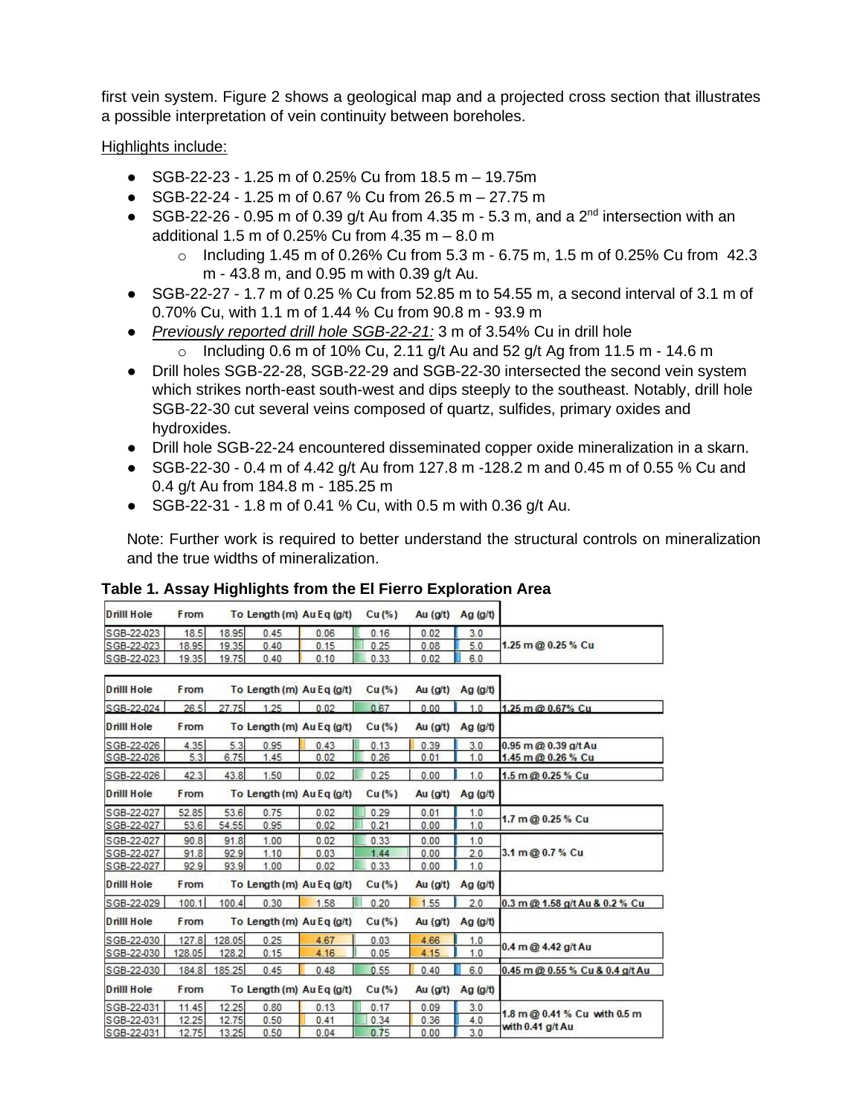first vein system. Figure 2 shows a geological map and a projected cross section that illustrates a possible interpretation of vein continuity between boreholes.

Highlights include:

- SGB-22-23 1.25 m of 0.25% Cu from 18.5 m 19.75m
- SGB-22-24 1.25 m of 0.67 % Cu from 26.5 m 27.75 m
- SGB-22-26 0.95 m of 0.39 g/t Au from 4.35 m 5.3 m, and a  $2<sup>nd</sup>$  intersection with an additional 1.5 m of 0.25% Cu from 4.35 m – 8.0 m
	- o Including 1.45 m of 0.26% Cu from 5.3 m 6.75 m, 1.5 m of 0.25% Cu from 42.3 m - 43.8 m, and 0.95 m with 0.39 g/t Au.
- SGB-22-27 1.7 m of 0.25 % Cu from 52.85 m to 54.55 m, a second interval of 3.1 m of 0.70% Cu, with 1.1 m of 1.44 % Cu from 90.8 m - 93.9 m
- *Previously reported drill hole SGB-22-21:* 3 m of 3.54% Cu in drill hole
	- o Including 0.6 m of 10% Cu, 2.11 g/t Au and 52 g/t Ag from 11.5 m 14.6 m
- Drill holes SGB-22-28, SGB-22-29 and SGB-22-30 intersected the second vein system which strikes north-east south-west and dips steeply to the southeast. Notably, drill hole SGB-22-30 cut several veins composed of quartz, sulfides, primary oxides and hydroxides.
- Drill hole SGB-22-24 encountered disseminated copper oxide mineralization in a skarn.
- SGB-22-30 0.4 m of 4.42 g/t Au from 127.8 m -128.2 m and 0.45 m of 0.55 % Cu and 0.4 g/t Au from 184.8 m - 185.25 m
- SGB-22-31 1.8 m of 0.41 % Cu, with 0.5 m with 0.36 g/t Au.

Note: Further work is required to better understand the structural controls on mineralization and the true widths of mineralization.

| Drill Hole        | From   |        | To Length (m) Au Eq (g/t) |      | $Cu(\%)$ | Au (g/t)   | Ag $(g/t)$ |                                                  |
|-------------------|--------|--------|---------------------------|------|----------|------------|------------|--------------------------------------------------|
| SGB-22-023        | 18.5   | 18.95  | 0.45                      | 0.06 | 0.16     | 0.02       | 3.0        | 1.25 m @ 0.25 % Cu                               |
| SGB-22-023        | 18.95  | 19.35  | 0.40                      | 0.15 | 0.25     | 0.08       | 5.0        |                                                  |
| SGB-22-023        | 19.35  | 19.75  | 0.40                      | 0.10 | 0.33     | 0.02       | 6.0        |                                                  |
| Drill Hole        | From   |        | To Length (m) Au Eq (g/t) |      | Cu(%)    | Au (g/t)   | Ag $(g/t)$ |                                                  |
| SGB-22-024        | 26.5   | 27.75  | 1.25                      | 0.02 | 0.67     | 0.00       | 1.0        | 1.25 m @ 0.67% Cu                                |
| Drill Hole        | From   |        | To Length (m) Au Eq (g/t) |      | $Cu(\%)$ | Au $(g/t)$ | Ag $(g/t)$ |                                                  |
| SGB-22-026        | 4.35   | 5.3    | 0.95                      | 0.43 | 0.13     | 0.39       | 3.0        | 0.95 m @ 0.39 g/t Au                             |
| SGB-22-026        | 5.3    | 6.75   | 1.45                      | 0.02 | 0.26     | 0.01       | 1.0        | 1.45 m @ 0.26 % Cu                               |
| SGB-22-026        | 42.3   | 43.8   | 1.50                      | 0.02 | 0.25     | 0.00       | 1.0        | 1.5 m @ 0.25 % Cu                                |
| <b>Drill Hole</b> | From   |        | To Length (m) Au Eq (g/t) |      | Cu (%)   | Au (g/t)   | Ag (g/t)   |                                                  |
| SGB-22-027        | 52.85  | 53.6   | 0.75                      | 0.02 | 0.29     | 0.01       | 1.0        | 1.7 m @ 0.25 % Cu                                |
| SGB-22-027        | 53.6   | 54.55  | 0.95                      | 0.02 | 0.21     | 0.00       | 1.0        |                                                  |
| SGB-22-027        | 90.8   | 91.8   | 1.00                      | 0.02 | 0.33     | 0.00       | 1.0        | 3.1 m @ 0.7 % Cu                                 |
| SGB-22-027        | 91.8   | 92.9   | 1.10                      | 0.03 | 1.44     | 0.00       | 2.0        |                                                  |
| SGB-22-027        | 92.9   | 93.9   | 1.00                      | 0.02 | 0.33     | 0.00       | 1.0        |                                                  |
| Drill Hole        | From   |        | To Length (m) Au Eq (g/t) |      | Cu (%)   | Au (g/t)   | Ag $(g/t)$ |                                                  |
| SGB-22-029        | 100.1  | 100.4  | 0.30                      | 1.58 | 0.20     | 1.55       | 2.0        | 0.3 m @ 1.58 g/t Au & 0.2 % Cu                   |
| Drill Hole        | From   |        | To Length (m) Au Eq (g/t) |      | Cu (%)   | Au (g/t)   | Ag $(g/t)$ |                                                  |
| SGB-22-030        | 127.8  | 128.05 | 0.25                      | 4.67 | 0.03     | 4.66       | 1.0        | 0.4 m @ 4.42 g/t Au                              |
| SGB-22-030        | 128.05 | 128.2  | 0.15                      | 4.16 | 0.05     | 4.15       | 1.0        |                                                  |
| SGB-22-030        | 184.8  | 185.25 | 0.45                      | 0.48 | 0.55     | 0.40       | 6.0        | 0.45 m @ 0.55 % Cu & 0.4 g/t Au                  |
| Drill Hole        | From   |        | To Length (m) Au Eq (g/t) |      | Cu (%)   | Au (g/t)   | Ag $(g/t)$ |                                                  |
| SGB-22-031        | 11.45  | 12.25  | 0.80                      | 0.13 | 0.17     | 0.09       | 3.0        | 1.8 m @ 0.41 % Cu with 0.5 m<br>with 0.41 g/t Au |
| SGB-22-031        | 12.25  | 12.75  | 0.50                      | 0.41 | 0.34     | 0.36       | 4.0        |                                                  |
| SGB-22-031        | 12.75  | 13.25  | 0.50                      | 0.04 | 0.75     | 0.00       | 3.0        |                                                  |

## **Table 1. Assay Highlights from the El Fierro Exploration Area**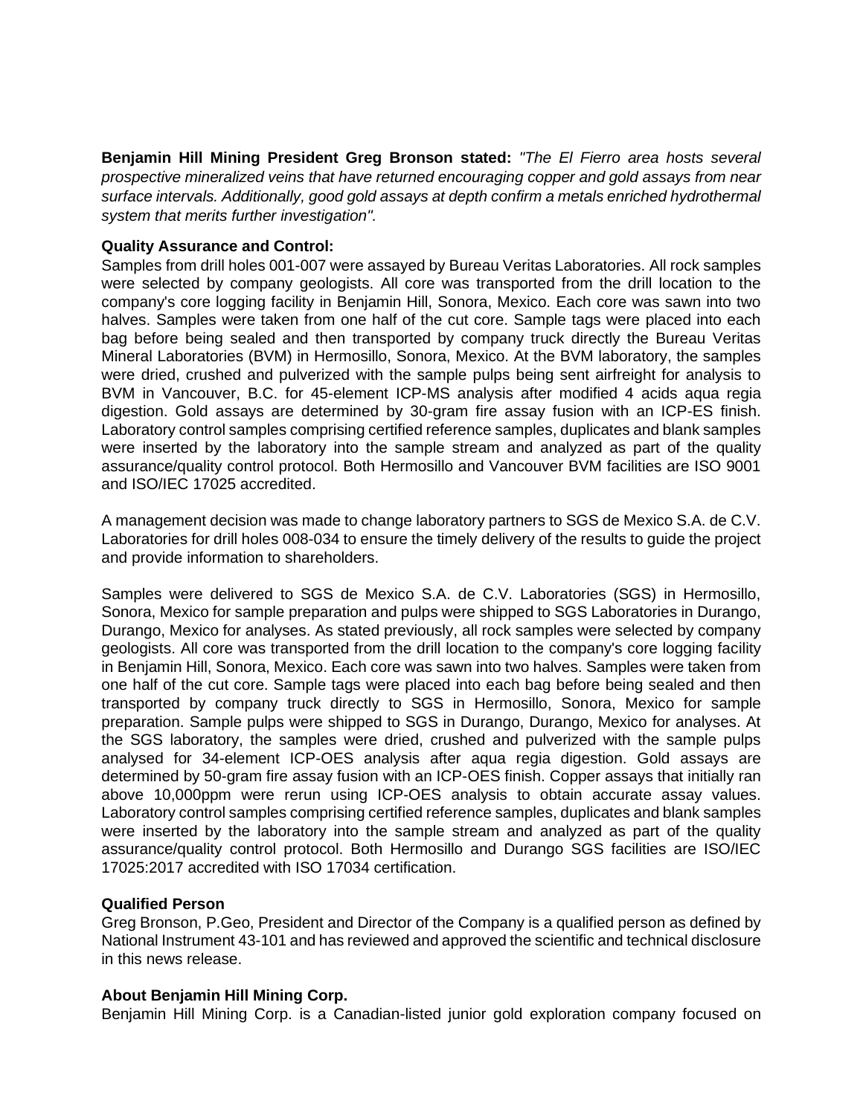**Benjamin Hill Mining President Greg Bronson stated:** *"The El Fierro area hosts several prospective mineralized veins that have returned encouraging copper and gold assays from near surface intervals. Additionally, good gold assays at depth confirm a metals enriched hydrothermal system that merits further investigation".*

### **Quality Assurance and Control:**

Samples from drill holes 001-007 were assayed by Bureau Veritas Laboratories. All rock samples were selected by company geologists. All core was transported from the drill location to the company's core logging facility in Benjamin Hill, Sonora, Mexico. Each core was sawn into two halves. Samples were taken from one half of the cut core. Sample tags were placed into each bag before being sealed and then transported by company truck directly the Bureau Veritas Mineral Laboratories (BVM) in Hermosillo, Sonora, Mexico. At the BVM laboratory, the samples were dried, crushed and pulverized with the sample pulps being sent airfreight for analysis to BVM in Vancouver, B.C. for 45-element ICP-MS analysis after modified 4 acids aqua regia digestion. Gold assays are determined by 30-gram fire assay fusion with an ICP-ES finish. Laboratory control samples comprising certified reference samples, duplicates and blank samples were inserted by the laboratory into the sample stream and analyzed as part of the quality assurance/quality control protocol. Both Hermosillo and Vancouver BVM facilities are ISO 9001 and ISO/IEC 17025 accredited.

A management decision was made to change laboratory partners to SGS de Mexico S.A. de C.V. Laboratories for drill holes 008-034 to ensure the timely delivery of the results to guide the project and provide information to shareholders.

Samples were delivered to SGS de Mexico S.A. de C.V. Laboratories (SGS) in Hermosillo, Sonora, Mexico for sample preparation and pulps were shipped to SGS Laboratories in Durango, Durango, Mexico for analyses. As stated previously, all rock samples were selected by company geologists. All core was transported from the drill location to the company's core logging facility in Benjamin Hill, Sonora, Mexico. Each core was sawn into two halves. Samples were taken from one half of the cut core. Sample tags were placed into each bag before being sealed and then transported by company truck directly to SGS in Hermosillo, Sonora, Mexico for sample preparation. Sample pulps were shipped to SGS in Durango, Durango, Mexico for analyses. At the SGS laboratory, the samples were dried, crushed and pulverized with the sample pulps analysed for 34-element ICP-OES analysis after aqua regia digestion. Gold assays are determined by 50-gram fire assay fusion with an ICP-OES finish. Copper assays that initially ran above 10,000ppm were rerun using ICP-OES analysis to obtain accurate assay values. Laboratory control samples comprising certified reference samples, duplicates and blank samples were inserted by the laboratory into the sample stream and analyzed as part of the quality assurance/quality control protocol. Both Hermosillo and Durango SGS facilities are ISO/IEC 17025:2017 accredited with ISO 17034 certification.

### **Qualified Person**

Greg Bronson, P.Geo, President and Director of the Company is a qualified person as defined by National Instrument 43-101 and has reviewed and approved the scientific and technical disclosure in this news release.

### **About Benjamin Hill Mining Corp.**

Benjamin Hill Mining Corp. is a Canadian-listed junior gold exploration company focused on